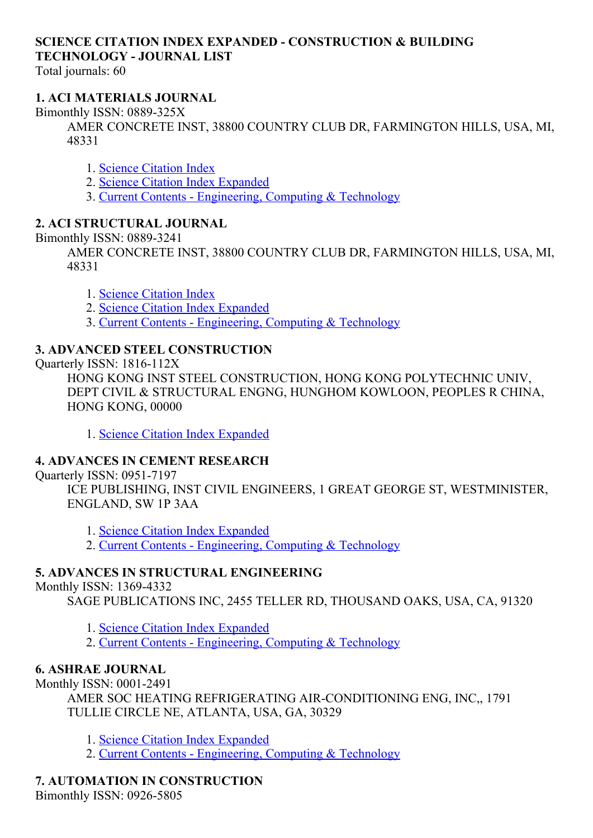## SCIENCE CITATION INDEX EXPANDED CONSTRUCTION & BUILDING TECHNOLOGY JOURNAL LIST

Total journals: 60

## 1. ACI MATERIALS JOURNAL

Bimonthly ISSN: 0889-325X

AMER CONCRETE INST, 38800 COUNTRY CLUB DR, FARMINGTON HILLS, USA, MI, 48331

- 1. Science [Citation](http://thomsonreuters.com/science-citation-index-expanded) Index
- 2. Science Citation Index [Expanded](http://thomsonreuters.com/science-citation-index-expanded)
- 3. Current Contents [Engineering,](http://thomsonreuters.com/current-contents-connect) Computing & Technology

## 2. ACI STRUCTURAL JOURNAL

Bimonthly ISSN: 0889-3241

AMER CONCRETE INST, 38800 COUNTRY CLUB DR, FARMINGTON HILLS, USA, MI, 48331

- 1. Science [Citation](http://thomsonreuters.com/science-citation-index-expanded) Index
- 2. Science Citation Index [Expanded](http://thomsonreuters.com/science-citation-index-expanded)
- 3. Current Contents [Engineering,](http://thomsonreuters.com/current-contents-connect) Computing & Technology

## 3. ADVANCED STEEL CONSTRUCTION

Quarterly ISSN: 1816-112X

HONG KONG INST STEEL CONSTRUCTION, HONG KONG POLYTECHNIC UNIV, DEPT CIVIL & STRUCTURAL ENGNG, HUNGHOM KOWLOON, PEOPLES R CHINA, HONG KONG, 00000

1. Science Citation Index [Expanded](http://thomsonreuters.com/science-citation-index-expanded)

## 4. ADVANCES IN CEMENT RESEARCH

Quarterly ISSN: 0951-7197

ICE PUBLISHING, INST CIVIL ENGINEERS, 1 GREAT GEORGE ST, WESTMINISTER, ENGLAND, SW 1P 3AA

1. Science Citation Index [Expanded](http://thomsonreuters.com/science-citation-index-expanded)

2. Current Contents - [Engineering,](http://thomsonreuters.com/current-contents-connect) Computing & Technology

## 5. ADVANCES IN STRUCTURAL ENGINEERING

Monthly ISSN: 1369-4332

SAGE PUBLICATIONS INC, 2455 TELLER RD, THOUSAND OAKS, USA, CA, 91320

1. Science Citation Index [Expanded](http://thomsonreuters.com/science-citation-index-expanded)

2. Current Contents - [Engineering,](http://thomsonreuters.com/current-contents-connect) Computing & Technology

## 6. ASHRAE JOURNAL

Monthly ISSN: 0001-2491

AMER SOC HEATING REFRIGERATING AIR-CONDITIONING ENG, INC., 1791 TULLIE CIRCLE NE, ATLANTA, USA, GA, 30329

1. Science Citation Index [Expanded](http://thomsonreuters.com/science-citation-index-expanded)

2. Current Contents - [Engineering,](http://thomsonreuters.com/current-contents-connect) Computing & Technology

## 7. AUTOMATION IN CONSTRUCTION

Bimonthly ISSN: 0926-5805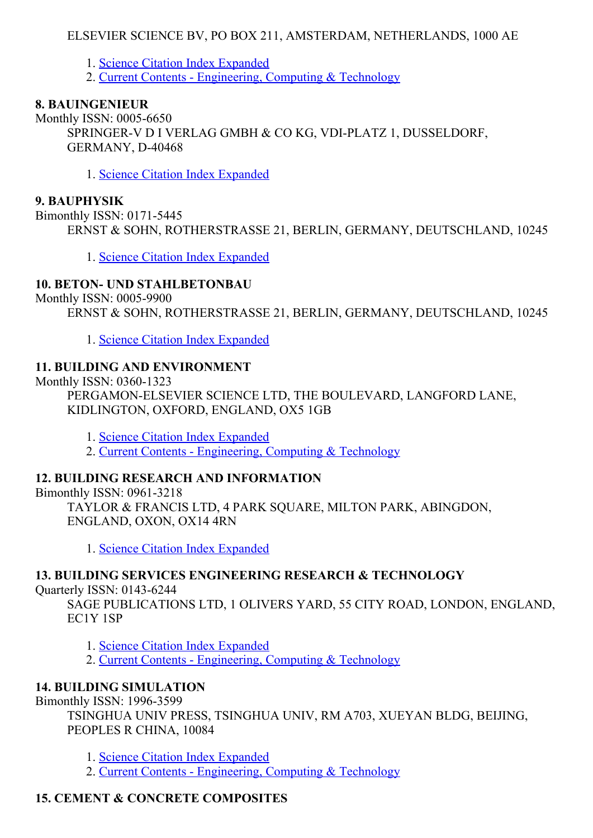## ELSEVIER SCIENCE BV, PO BOX 211, AMSTERDAM, NETHERLANDS, 1000 AE

1. Science Citation Index [Expanded](http://thomsonreuters.com/science-citation-index-expanded)

2. Current Contents - [Engineering,](http://thomsonreuters.com/current-contents-connect) Computing & Technology

#### 8. BAUINGENIEUR

Monthly ISSN: 0005-6650 SPRINGER-V D I VERLAG GMBH & CO KG, VDI-PLATZ 1, DUSSELDORF, **GERMANY, D-40468** 

1. Science Citation Index [Expanded](http://thomsonreuters.com/science-citation-index-expanded)

#### 9. BAUPHYSIK

Bimonthly ISSN: 0171-5445 ERNST & SOHN, ROTHERSTRASSE 21, BERLIN, GERMANY, DEUTSCHLAND, 10245

1. Science Citation Index [Expanded](http://thomsonreuters.com/science-citation-index-expanded)

## 10. BETON- UND STAHLBETONBAU

Monthly ISSN: 0005-9900

ERNST & SOHN, ROTHERSTRASSE 21, BERLIN, GERMANY, DEUTSCHLAND, 10245

1. Science Citation Index [Expanded](http://thomsonreuters.com/science-citation-index-expanded)

#### 11. BUILDING AND ENVIRONMENT

Monthly ISSN: 0360-1323

PERGAMON-ELSEVIER SCIENCE LTD, THE BOULEVARD, LANGFORD LANE, KIDLINGTON, OXFORD, ENGLAND, OX5 1GB

1. Science Citation Index [Expanded](http://thomsonreuters.com/science-citation-index-expanded)

2. Current Contents - [Engineering,](http://thomsonreuters.com/current-contents-connect) Computing & Technology

#### 12. BUILDING RESEARCH AND INFORMATION

Bimonthly ISSN: 0961-3218

TAYLOR & FRANCIS LTD, 4 PARK SQUARE, MILTON PARK, ABINGDON, ENGLAND, OXON, OX14 4RN

1. Science Citation Index [Expanded](http://thomsonreuters.com/science-citation-index-expanded)

## 13. BUILDING SERVICES ENGINEERING RESEARCH & TECHNOLOGY

Quarterly ISSN: 0143-6244

SAGE PUBLICATIONS LTD, 1 OLIVERS YARD, 55 CITY ROAD, LONDON, ENGLAND, EC1Y 1SP

1. Science Citation Index [Expanded](http://thomsonreuters.com/science-citation-index-expanded)

2. Current Contents - [Engineering,](http://thomsonreuters.com/current-contents-connect) Computing & Technology

## 14. BUILDING SIMULATION

Bimonthly ISSN: 1996-3599

TSINGHUA UNIV PRESS, TSINGHUA UNIV, RM A703, XUEYAN BLDG, BEIJING, PEOPLES R CHINA, 10084

1. Science Citation Index [Expanded](http://thomsonreuters.com/science-citation-index-expanded)

2. Current Contents - [Engineering,](http://thomsonreuters.com/current-contents-connect) Computing & Technology

## 15. CEMENT & CONCRETE COMPOSITES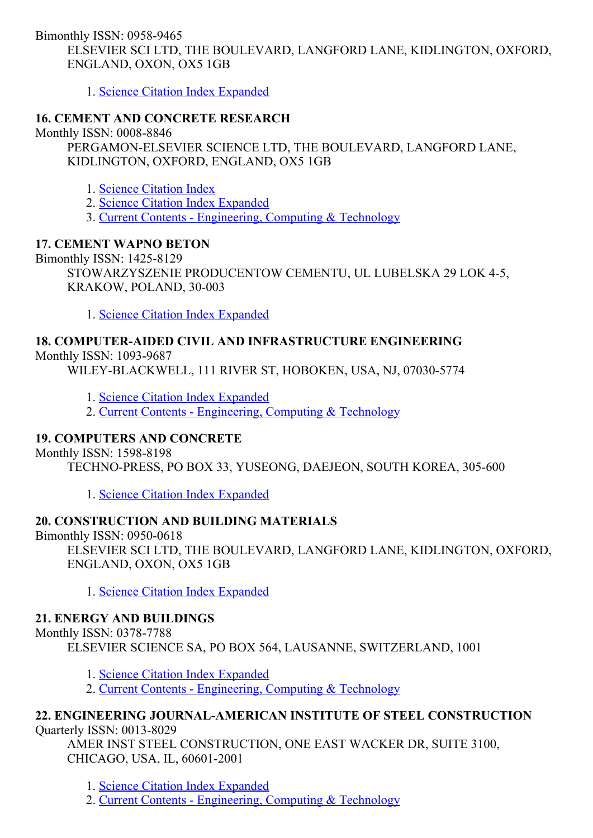Bimonthly ISSN: 0958-9465 ELSEVIER SCI LTD, THE BOULEVARD, LANGFORD LANE, KIDLINGTON, OXFORD, ENGLAND, OXON, OX5 1GB

1. Science Citation Index [Expanded](http://thomsonreuters.com/science-citation-index-expanded)

## 16. CEMENT AND CONCRETE RESEARCH

Monthly ISSN: 0008-8846

PERGAMON-ELSEVIER SCIENCE LTD, THE BOULEVARD, LANGFORD LANE, KIDLINGTON, OXFORD, ENGLAND, OX5 1GB

- 1. Science [Citation](http://thomsonreuters.com/science-citation-index-expanded) Index
- 2. Science Citation Index [Expanded](http://thomsonreuters.com/science-citation-index-expanded)
- 3. Current Contents [Engineering,](http://thomsonreuters.com/current-contents-connect) Computing & Technology

#### 17. CEMENT WAPNO BETON

Bimonthly ISSN: 1425-8129

STOWARZYSZENIE PRODUCENTOW CEMENTU, UL LUBELSKA 29 LOK 45, KRAKOW, POLAND, 30-003

1. Science Citation Index [Expanded](http://thomsonreuters.com/science-citation-index-expanded)

# 18. COMPUTERAIDED CIVIL AND INFRASTRUCTURE ENGINEERING

Monthly ISSN: 1093-9687

WILEY-BLACKWELL, 111 RIVER ST, HOBOKEN, USA, NJ, 07030-5774

- 1. Science Citation Index [Expanded](http://thomsonreuters.com/science-citation-index-expanded)
- 2. Current Contents [Engineering,](http://thomsonreuters.com/current-contents-connect) Computing & Technology

## 19. COMPUTERS AND CONCRETE

Monthly ISSN: 1598-8198

TECHNO-PRESS, PO BOX 33, YUSEONG, DAEJEON, SOUTH KOREA, 305-600

1. Science Citation Index [Expanded](http://thomsonreuters.com/science-citation-index-expanded)

## 20. CONSTRUCTION AND BUILDING MATERIALS

Bimonthly  $ISSN: 0950-0618$ 

ELSEVIER SCI LTD, THE BOULEVARD, LANGFORD LANE, KIDLINGTON, OXFORD, ENGLAND, OXON, OX5 1GB

1. Science Citation Index [Expanded](http://thomsonreuters.com/science-citation-index-expanded)

## 21. ENERGY AND BUILDINGS

Monthly ISSN: 0378-7788

ELSEVIER SCIENCE SA, PO BOX 564, LAUSANNE, SWITZERLAND, 1001

- 1. Science Citation Index [Expanded](http://thomsonreuters.com/science-citation-index-expanded)
- 2. Current Contents [Engineering,](http://thomsonreuters.com/current-contents-connect) Computing & Technology

#### 22. ENGINEERING JOURNALAMERICAN INSTITUTE OF STEEL CONSTRUCTION Quarterly ISSN: 0013-8029

AMER INST STEEL CONSTRUCTION, ONE EAST WACKER DR, SUITE 3100, CHICAGO, USA, IL, 60601-2001

1. Science Citation Index [Expanded](http://thomsonreuters.com/science-citation-index-expanded)

2. Current Contents - [Engineering,](http://thomsonreuters.com/current-contents-connect) Computing & Technology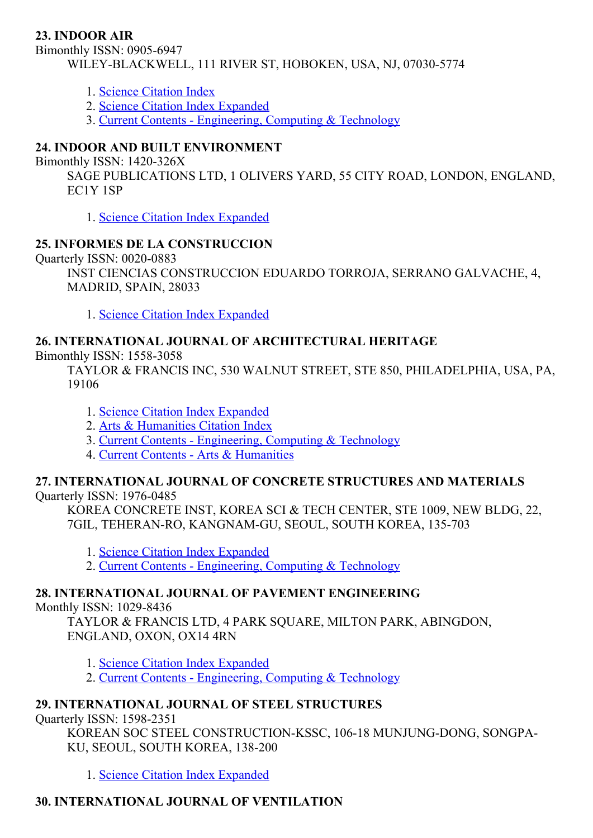## 23. INDOOR AIR

Bimonthly ISSN: 0905-6947 WILEY-BLACKWELL, 111 RIVER ST, HOBOKEN, USA, NJ, 07030-5774

- 1. Science [Citation](http://thomsonreuters.com/science-citation-index-expanded) Index
- 2. Science Citation Index [Expanded](http://thomsonreuters.com/science-citation-index-expanded)
- 3. Current Contents [Engineering,](http://thomsonreuters.com/current-contents-connect) Computing & Technology

## 24. INDOOR AND BUILT ENVIRONMENT

Bimonthly ISSN: 1420-326X

SAGE PUBLICATIONS LTD, 1 OLIVERS YARD, 55 CITY ROAD, LONDON, ENGLAND, EC1Y 1SP

1. Science Citation Index [Expanded](http://thomsonreuters.com/science-citation-index-expanded)

#### 25. INFORMES DE LA CONSTRUCCION

Quarterly ISSN: 0020-0883

INST CIENCIAS CONSTRUCCION EDUARDO TORROJA, SERRANO GALVACHE, 4, MADRID, SPAIN, 28033

1. Science Citation Index [Expanded](http://thomsonreuters.com/science-citation-index-expanded)

#### 26. INTERNATIONAL JOURNAL OF ARCHITECTURAL HERITAGE

Bimonthly ISSN: 1558-3058

TAYLOR & FRANCIS INC, 530 WALNUT STREET, STE 850, PHILADELPHIA, USA, PA, 19106

- 1. Science Citation Index [Expanded](http://thomsonreuters.com/science-citation-index-expanded)
- 2. Arts & [Humanities](http://thomsonreuters.com/arts-humanities-citation-index) Citation Index
- 3. Current Contents [Engineering,](http://thomsonreuters.com/current-contents-connect) Computing & Technology
- 4. Current Contents Arts & [Humanities](http://thomsonreuters.com/current-contents-connect)

# 27. INTERNATIONAL JOURNAL OF CONCRETE STRUCTURES AND MATERIALS

Quarterly ISSN: 1976-0485

KOREA CONCRETE INST, KOREA SCI & TECH CENTER, STE 1009, NEW BLDG, 22, 7GIL, TEHERAN-RO, KANGNAM-GU, SEOUL, SOUTH KOREA, 135-703

- 1. Science Citation Index [Expanded](http://thomsonreuters.com/science-citation-index-expanded)
- 2. Current Contents [Engineering,](http://thomsonreuters.com/current-contents-connect) Computing & Technology

## 28. INTERNATIONAL JOURNAL OF PAVEMENT ENGINEERING

Monthly ISSN: 1029-8436

TAYLOR & FRANCIS LTD, 4 PARK SQUARE, MILTON PARK, ABINGDON, ENGLAND, OXON, OX14 4RN

- 1. Science Citation Index [Expanded](http://thomsonreuters.com/science-citation-index-expanded)
- 2. Current Contents [Engineering,](http://thomsonreuters.com/current-contents-connect) Computing & Technology

## 29. INTERNATIONAL JOURNAL OF STEEL STRUCTURES

Quarterly ISSN: 1598-2351

KOREAN SOC STEEL CONSTRUCTION-KSSC, 106-18 MUNJUNG-DONG, SONGPA-KU, SEOUL, SOUTH KOREA, 138-200

1. Science Citation Index [Expanded](http://thomsonreuters.com/science-citation-index-expanded)

## 30. INTERNATIONAL JOURNAL OF VENTILATION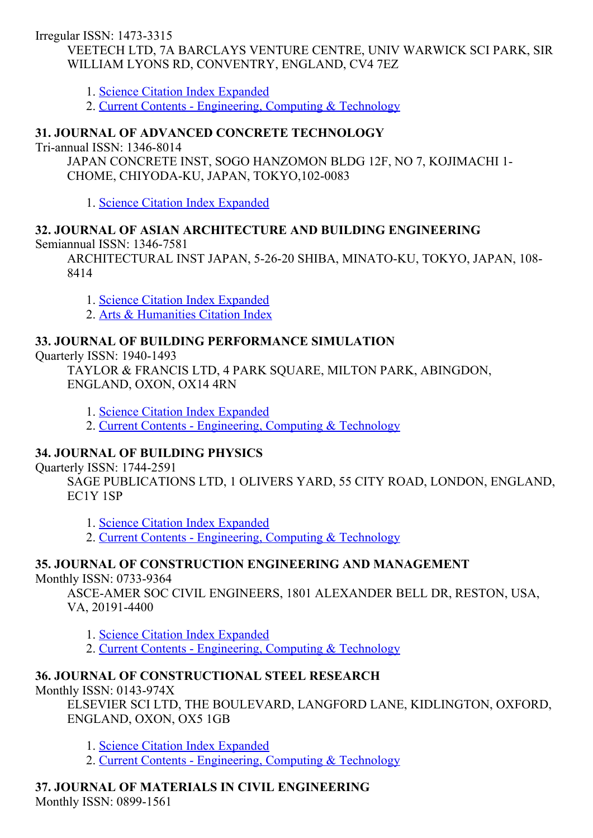Irregular ISSN: 1473-3315 VEETECH LTD, 7A BARCLAYS VENTURE CENTRE, UNIV WARWICK SCI PARK, SIR WILLIAM LYONS RD, CONVENTRY, ENGLAND, CV4 7EZ

- 1. Science Citation Index [Expanded](http://thomsonreuters.com/science-citation-index-expanded)
- 2. Current Contents [Engineering,](http://thomsonreuters.com/current-contents-connect) Computing & Technology

## 31. JOURNAL OF ADVANCED CONCRETE TECHNOLOGY

Tri-annual ISSN: 1346-8014

JAPAN CONCRETE INST, SOGO HANZOMON BLDG 12F, NO 7, KOJIMACHI 1 CHOME, CHIYODA-KU, JAPAN, TOKYO, 102-0083

1. Science Citation Index [Expanded](http://thomsonreuters.com/science-citation-index-expanded)

## 32. JOURNAL OF ASIAN ARCHITECTURE AND BUILDING ENGINEERING

Semiannual ISSN: 1346-7581

ARCHITECTURAL INST JAPAN, 5-26-20 SHIBA, MINATO-KU, TOKYO, JAPAN, 108-8414

1. Science Citation Index [Expanded](http://thomsonreuters.com/science-citation-index-expanded)

2. Arts & [Humanities](http://thomsonreuters.com/arts-humanities-citation-index) Citation Index

#### 33. JOURNAL OF BUILDING PERFORMANCE SIMULATION

Quarterly ISSN: 1940-1493

TAYLOR & FRANCIS LTD, 4 PARK SQUARE, MILTON PARK, ABINGDON, ENGLAND, OXON, OX14 4RN

1. Science Citation Index [Expanded](http://thomsonreuters.com/science-citation-index-expanded)

2. Current Contents - [Engineering,](http://thomsonreuters.com/current-contents-connect) Computing & Technology

## 34. JOURNAL OF BUILDING PHYSICS

Quarterly ISSN: 1744-2591

SAGE PUBLICATIONS LTD, 1 OLIVERS YARD, 55 CITY ROAD, LONDON, ENGLAND, EC1Y 1SP

1. Science Citation Index [Expanded](http://thomsonreuters.com/science-citation-index-expanded)

2. Current Contents - [Engineering,](http://thomsonreuters.com/current-contents-connect) Computing & Technology

## 35. JOURNAL OF CONSTRUCTION ENGINEERING AND MANAGEMENT

Monthly ISSN: 0733-9364

ASCEAMER SOC CIVIL ENGINEERS, 1801 ALEXANDER BELL DR, RESTON, USA, VA, 20191-4400

1. Science Citation Index [Expanded](http://thomsonreuters.com/science-citation-index-expanded)

2. Current Contents - [Engineering,](http://thomsonreuters.com/current-contents-connect) Computing & Technology

## 36. JOURNAL OF CONSTRUCTIONAL STEEL RESEARCH

Monthly ISSN:  $0143-974X$ 

ELSEVIER SCI LTD, THE BOULEVARD, LANGFORD LANE, KIDLINGTON, OXFORD, ENGLAND, OXON, OX5 1GB

1. Science Citation Index [Expanded](http://thomsonreuters.com/science-citation-index-expanded)

2. Current Contents - [Engineering,](http://thomsonreuters.com/current-contents-connect) Computing & Technology

#### 37. JOURNAL OF MATERIALS IN CIVIL ENGINEERING Monthly ISSN: 0899-1561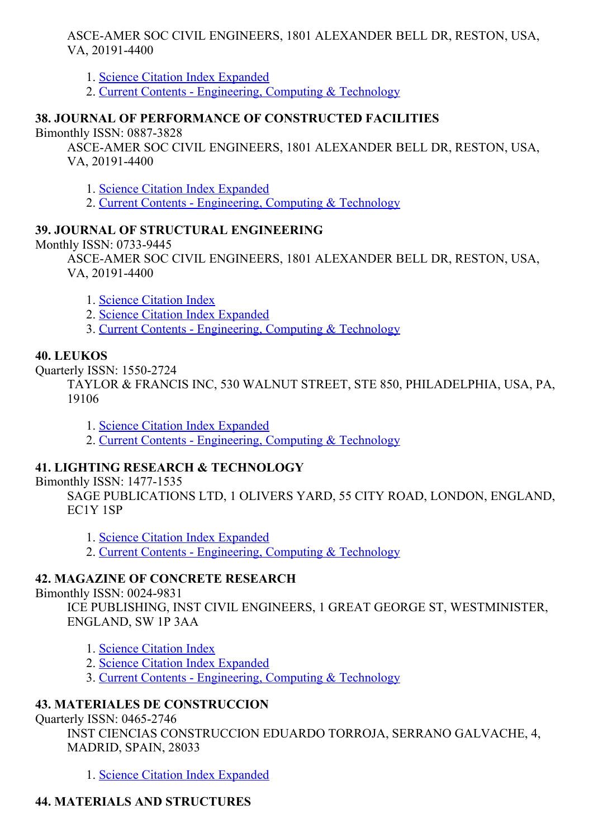ASCEAMER SOC CIVIL ENGINEERS, 1801 ALEXANDER BELL DR, RESTON, USA, VA, 20191-4400

1. Science Citation Index [Expanded](http://thomsonreuters.com/science-citation-index-expanded)

2. Current Contents - [Engineering,](http://thomsonreuters.com/current-contents-connect) Computing & Technology

## 38. JOURNAL OF PERFORMANCE OF CONSTRUCTED FACILITIES

Bimonthly ISSN: 0887-3828

ASCEAMER SOC CIVIL ENGINEERS, 1801 ALEXANDER BELL DR, RESTON, USA, VA, 20191-4400

1. Science Citation Index [Expanded](http://thomsonreuters.com/science-citation-index-expanded)

2. Current Contents - [Engineering,](http://thomsonreuters.com/current-contents-connect) Computing & Technology

## 39. JOURNAL OF STRUCTURAL ENGINEERING

Monthly ISSN: 0733-9445

ASCEAMER SOC CIVIL ENGINEERS, 1801 ALEXANDER BELL DR, RESTON, USA, VA, 20191-4400

1. Science [Citation](http://thomsonreuters.com/science-citation-index-expanded) Index

- 2. Science Citation Index [Expanded](http://thomsonreuters.com/science-citation-index-expanded)
- 3. Current Contents [Engineering,](http://thomsonreuters.com/current-contents-connect) Computing & Technology

#### 40. LEUKOS

Ouarterly ISSN: 1550-2724

TAYLOR & FRANCIS INC, 530 WALNUT STREET, STE 850, PHILADELPHIA, USA, PA, 19106

1. Science Citation Index [Expanded](http://thomsonreuters.com/science-citation-index-expanded)

2. Current Contents - [Engineering,](http://thomsonreuters.com/current-contents-connect) Computing & Technology

## 41. LIGHTING RESEARCH & TECHNOLOGY

Bimonthly ISSN: 1477-1535

SAGE PUBLICATIONS LTD, 1 OLIVERS YARD, 55 CITY ROAD, LONDON, ENGLAND, EC1Y 1SP

- 1. Science Citation Index [Expanded](http://thomsonreuters.com/science-citation-index-expanded)
- 2. Current Contents [Engineering,](http://thomsonreuters.com/current-contents-connect) Computing & Technology

## 42. MAGAZINE OF CONCRETE RESEARCH

#### Bimonthly ISSN: 0024-9831

ICE PUBLISHING, INST CIVIL ENGINEERS, 1 GREAT GEORGE ST, WESTMINISTER, ENGLAND, SW 1P 3AA

- 1. Science [Citation](http://thomsonreuters.com/science-citation-index-expanded) Index
- 2. Science Citation Index [Expanded](http://thomsonreuters.com/science-citation-index-expanded)
- 3. Current Contents [Engineering,](http://thomsonreuters.com/current-contents-connect) Computing & Technology

## 43. MATERIALES DE CONSTRUCCION

Quarterly ISSN: 0465-2746

INST CIENCIAS CONSTRUCCION EDUARDO TORROJA, SERRANO GALVACHE, 4, MADRID, SPAIN, 28033

1. Science Citation Index [Expanded](http://thomsonreuters.com/science-citation-index-expanded)

## 44. MATERIALS AND STRUCTURES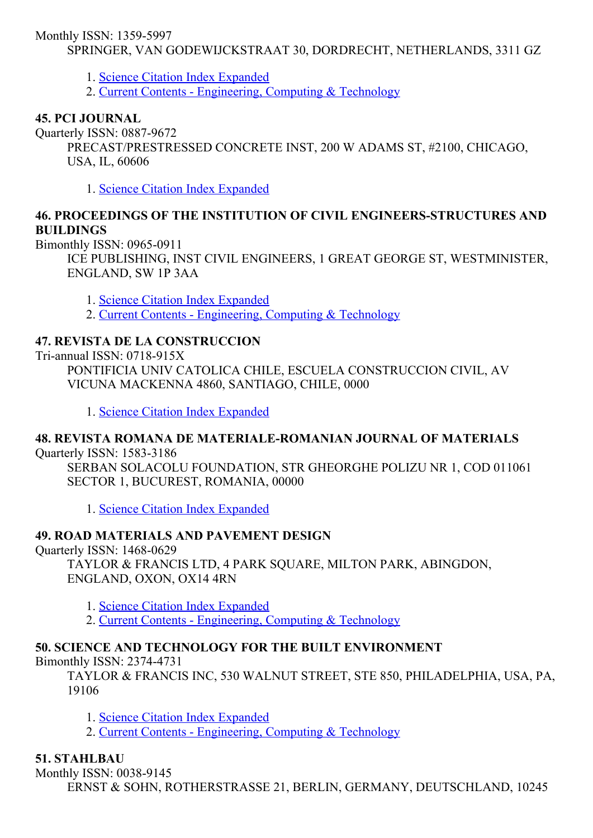Monthly ISSN: 1359-5997

SPRINGER, VAN GODEWIJCKSTRAAT 30, DORDRECHT, NETHERLANDS, 3311 GZ

1. Science Citation Index [Expanded](http://thomsonreuters.com/science-citation-index-expanded)

2. Current Contents - [Engineering,](http://thomsonreuters.com/current-contents-connect) Computing & Technology

## 45. PCI JOURNAL

Quarterly ISSN: 0887-9672

PRECAST/PRESTRESSED CONCRETE INST, 200 W ADAMS ST, #2100, CHICAGO, USA, IL, 60606

1. Science Citation Index [Expanded](http://thomsonreuters.com/science-citation-index-expanded)

## 46. PROCEEDINGS OF THE INSTITUTION OF CIVIL ENGINEERS-STRUCTURES AND **BUILDINGS**

Bimonthly ISSN: 0965-0911

ICE PUBLISHING, INST CIVIL ENGINEERS, 1 GREAT GEORGE ST, WESTMINISTER, ENGLAND, SW 1P 3AA

1. Science Citation Index [Expanded](http://thomsonreuters.com/science-citation-index-expanded)

2. Current Contents - [Engineering,](http://thomsonreuters.com/current-contents-connect) Computing & Technology

## 47. REVISTA DE LA CONSTRUCCION

 $Tri-annual ISSN: 0718-915X$ 

PONTIFICIA UNIV CATOLICA CHILE, ESCUELA CONSTRUCCION CIVIL, AV VICUNA MACKENNA 4860, SANTIAGO, CHILE, 0000

1. Science Citation Index [Expanded](http://thomsonreuters.com/science-citation-index-expanded)

## 48. REVISTA ROMANA DE MATERIALE-ROMANIAN JOURNAL OF MATERIALS

Quarterly ISSN: 1583-3186

SERBAN SOLACOLU FOUNDATION, STR GHEORGHE POLIZU NR 1, COD 011061 SECTOR 1, BUCUREST, ROMANIA, 00000

1. Science Citation Index [Expanded](http://thomsonreuters.com/science-citation-index-expanded)

## 49. ROAD MATERIALS AND PAVEMENT DESIGN

Ouarterly ISSN: 1468-0629

TAYLOR & FRANCIS LTD, 4 PARK SQUARE, MILTON PARK, ABINGDON, ENGLAND, OXON, OX14 4RN

1. Science Citation Index [Expanded](http://thomsonreuters.com/science-citation-index-expanded)

2. Current Contents - [Engineering,](http://thomsonreuters.com/current-contents-connect) Computing & Technology

## 50. SCIENCE AND TECHNOLOGY FOR THE BUILT ENVIRONMENT

Bimonthly ISSN: 2374-4731

TAYLOR & FRANCIS INC, 530 WALNUT STREET, STE 850, PHILADELPHIA, USA, PA, 19106

1. Science Citation Index [Expanded](http://thomsonreuters.com/science-citation-index-expanded)

2. Current Contents - [Engineering,](http://thomsonreuters.com/current-contents-connect) Computing & Technology

## 51. STAHLBAU

Monthly ISSN: 0038-9145

ERNST & SOHN, ROTHERSTRASSE 21, BERLIN, GERMANY, DEUTSCHLAND, 10245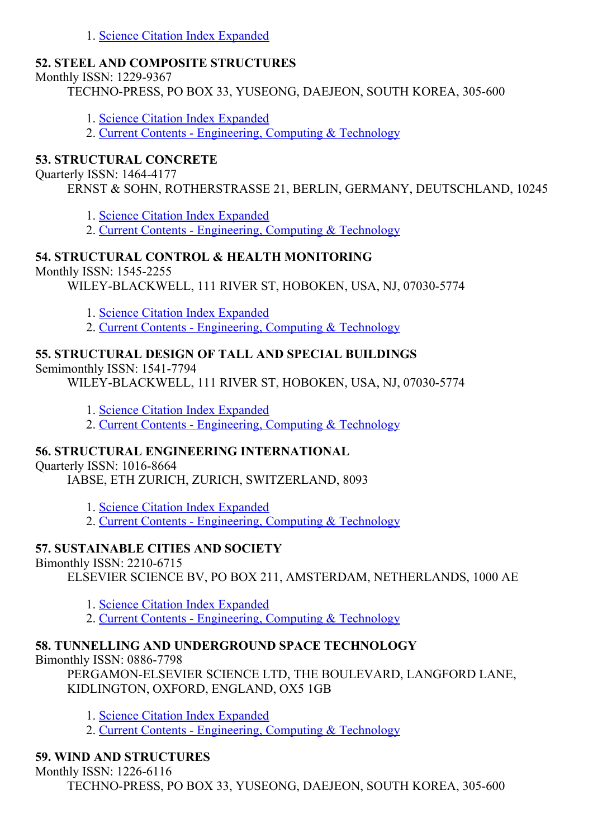1. Science Citation Index [Expanded](http://thomsonreuters.com/science-citation-index-expanded)

## 52. STEEL AND COMPOSITE STRUCTURES

Monthly ISSN: 1229-9367

TECHNO-PRESS, PO BOX 33, YUSEONG, DAEJEON, SOUTH KOREA, 305-600

- 1. Science Citation Index [Expanded](http://thomsonreuters.com/science-citation-index-expanded)
- 2. Current Contents [Engineering,](http://thomsonreuters.com/current-contents-connect) Computing & Technology

## 53. STRUCTURAL CONCRETE

Quarterly ISSN: 14644177

ERNST & SOHN, ROTHERSTRASSE 21, BERLIN, GERMANY, DEUTSCHLAND, 10245

1. Science Citation Index [Expanded](http://thomsonreuters.com/science-citation-index-expanded)

2. Current Contents - [Engineering,](http://thomsonreuters.com/current-contents-connect) Computing & Technology

## 54. STRUCTURAL CONTROL & HEALTH MONITORING

Monthly ISSN: 1545-2255

WILEY-BLACKWELL, 111 RIVER ST, HOBOKEN, USA, NJ, 07030-5774

1. Science Citation Index [Expanded](http://thomsonreuters.com/science-citation-index-expanded)

2. Current Contents - [Engineering,](http://thomsonreuters.com/current-contents-connect) Computing & Technology

## 55. STRUCTURAL DESIGN OF TALL AND SPECIAL BUILDINGS

Semimonthly ISSN: 1541-7794

WILEY-BLACKWELL, 111 RIVER ST, HOBOKEN, USA, NJ, 07030-5774

1. Science Citation Index [Expanded](http://thomsonreuters.com/science-citation-index-expanded)

2. Current Contents - [Engineering,](http://thomsonreuters.com/current-contents-connect) Computing & Technology

## 56. STRUCTURAL ENGINEERING INTERNATIONAL

Ouarterly ISSN: 1016-8664

IABSE, ETH ZURICH, ZURICH, SWITZERLAND, 8093

1. Science Citation Index [Expanded](http://thomsonreuters.com/science-citation-index-expanded)

2. Current Contents [Engineering,](http://thomsonreuters.com/current-contents-connect) Computing & Technology

## 57. SUSTAINABLE CITIES AND SOCIETY

Bimonthly ISSN: 2210-6715

ELSEVIER SCIENCE BV, PO BOX 211, AMSTERDAM, NETHERLANDS, 1000 AE

1. Science Citation Index [Expanded](http://thomsonreuters.com/science-citation-index-expanded)

2. Current Contents - [Engineering,](http://thomsonreuters.com/current-contents-connect) Computing & Technology

# 58. TUNNELLING AND UNDERGROUND SPACE TECHNOLOGY

Bimonthly ISSN: 0886-7798

PERGAMON-ELSEVIER SCIENCE LTD, THE BOULEVARD, LANGFORD LANE, KIDLINGTON, OXFORD, ENGLAND, OX5 1GB

1. Science Citation Index [Expanded](http://thomsonreuters.com/science-citation-index-expanded)

2. Current Contents - [Engineering,](http://thomsonreuters.com/current-contents-connect) Computing & Technology

## 59. WIND AND STRUCTURES

Monthly ISSN: 1226-6116

TECHNO-PRESS, PO BOX 33, YUSEONG, DAEJEON, SOUTH KOREA, 305-600